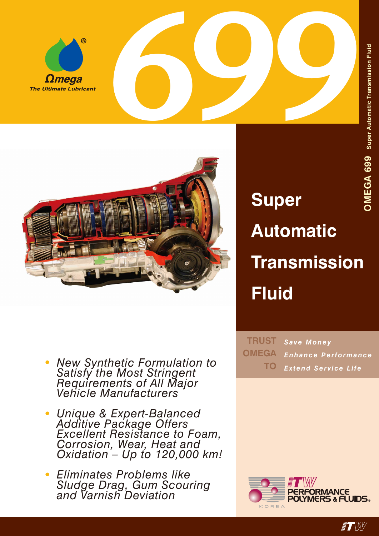



- *• New Synthetic Formulation to Satisfy the Most Stringent Requirements of All Major Vehicle Manufacturers*
- *• Unique & Expert-Balanced Additive Package Offers Excellent Resistance to Foam, Corrosion, Wear, Heat and Oxidation – Up to 120,000 km!*
- *• Eliminates Problems like Sludge Drag, Gum Scouring and Varnish Deviation*

**Super Automatic Transmission Fluid**

*Save Money Enhance Performance Extend Service Life* **TRUST OMEGA TO**